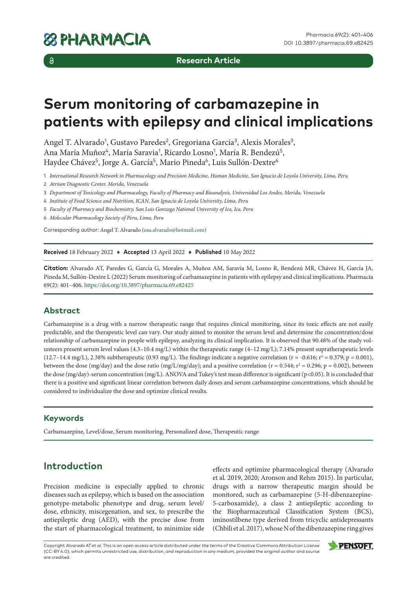$\delta$ 

**Research Article**

# **Serum monitoring of carbamazepine in patients with epilepsy and clinical implications**

Angel T. Alvarado<sup>1</sup>, Gustavo Paredes<sup>2</sup>, Gregoriana García<sup>3</sup>, Alexis Morales<sup>3</sup>, Ana María Muñoz<sup>4</sup>, María Saravia<sup>1</sup>, Ricardo Losno<sup>1</sup>, María R. Bendezú<sup>5</sup>, Haydee Chávez<sup>5</sup>, Jorge A. García<sup>5</sup>, Mario Pineda<sup>6</sup>, Luis Sullón-Dextre<sup>6</sup>

1 *International Research Network in Pharmacology and Precision Medicine, Human Medicine, San Ignacio de Loyola University, Lima, Peru*

2 *Atrium Diagnostic Center, Merida, Venezuela*

3 *Department of Toxicology and Pharmacology, Faculty of Pharmacy and Bioanalysis, Universidad Los Andes, Merida, Venezuela*

4 *Institute of Food Science and Nutrition, ICAN, San Ignacio de Loyola University, Lima, Peru*

5 *Faculty of Pharmacy and Biochemistry, San Luis Gonzaga National University of Ica, Ica, Peru*

6 *Molecular Pharmacology Society of Peru, Lima, Peru*

Corresponding author: Angel T. Alvarado ([eaa.alvarado@hotmail.com\)](mailto:eaa.alvarado@hotmail.com)

**Received** 18 February 2022 ♦ **Accepted** 13 April 2022 ♦ **Published** 10 May 2022

**Citation:** Alvarado AT, Paredes G, García G, Morales A, Muñoz AM, Saravia M, Losno R, Bendezú MR, Chávez H, García JA, Pineda M, Sullón-Dextre L (2022) Serum monitoring of carbamazepine in patients with epilepsy and clinical implications. Pharmacia 69(2): 401–406.<https://doi.org/10.3897/pharmacia.69.e82425>

## **Abstract**

Carbamazepine is a drug with a narrow therapeutic range that requires clinical monitoring, since its toxic effects are not easily predictable, and the therapeutic level can vary. Our study aimed to monitor the serum level and determine the concentration/dose relationship of carbamazepine in people with epilepsy, analyzing its clinical implication. It is observed that 90.48% of the study volunteers present serum level values  $(4.3-10.4 \text{ mg/L})$  within the therapeutic range  $(4-12 \text{ mg/L})$ ; 7.14% present supratherapeutic levels  $(12.7-14.4 \text{ mg/L})$ , 2.38% subtherapeutic  $(0.93 \text{ mg/L})$ . The findings indicate a negative correlation (r = -0.616;  $r^2 = 0.379$ ; p = 0.001), between the dose (mg/day) and the dose ratio (mg/L/mg/day); and a positive correlation ( $r = 0.544$ ;  $r^2 = 0.296$ ;  $p = 0.002$ ), between the dose (mg/day)-serum concentration (mg/L). ANOVA and Tukey's test mean difference is significant (p<0.05). It is concluded that there is a positive and significant linear correlation between daily doses and serum carbamazepine concentrations, which should be considered to individualize the dose and optimize clinical results.

## **Keywords**

Carbamazepine, Level/dose, Serum monitoring, Personalized dose, Therapeutic range

# **Introduction**

Precision medicine is especially applied to chronic diseases such as epilepsy, which is based on the association genotype-metabolic phenotype and drug, serum level/ dose, ethnicity, miscegenation, and sex, to prescribe the antiepileptic drug (AED), with the precise dose from the start of pharmacological treatment, to minimize side effects and optimize pharmacological therapy (Alvarado et al. 2019, 2020; Aronson and Rehm 2015). In particular, drugs with a narrow therapeutic margin should be monitored, such as carbamazepine (5-H-dibenzazepine-5-carboxamide), a class 2 antiepileptic according to the Biopharmaceutical Classification System (BCS), iminostilbene type derived from tricyclic antidepressants (Chbili et al. 2017), whose N of the dibenzazepine ring gives

Copyright *Alvarado AT et al.* This is an open access article distributed under the terms of the Creative Commons Attribution License (CC-BY 4.0), which permits unrestricted use, distribution, and reproduction in any medium, provided the original author and source are credited.

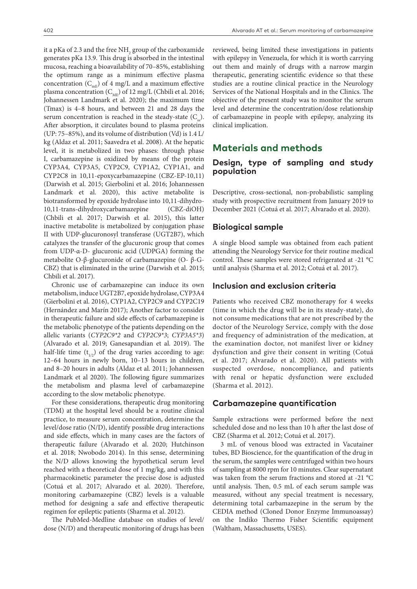it a pKa of 2.3 and the free  $\mathrm{NH}_2^{}$  group of the carboxamide generates pKa 13.9. This drug is absorbed in the intestinal mucosa, reaching a bioavailability of 70–85%, establishing the optimum range as a minimum effective plasma concentration  $(C_{mE})$  of 4 mg/L and a maximum effective plasma concentration ( $C_{ME}$ ) of 12 mg/L (Chbili et al. 2016; Johannessen Landmark et al. 2020); the maximum time (Tmax) is 4–8 hours, and between 21 and 28 days the serum concentration is reached in the steady-state  $(C_{s})$ . After absorption, it circulates bound to plasma proteins (UP: 75–85%), and its volume of distribution (Vd) is 1.4 L/ kg (Aldaz et al. 2011; Saavedra et al. 2008). At the hepatic level, it is metabolized in two phases: through phase I, carbamazepine is oxidized by means of the protein CYP3A4, CYP3A5, CYP2C9, CYP1A2, CYP1A1, and CYP2C8 in 10,11-epoxycarbamazepine (CBZ-EP-10,11) (Darwish et al. 2015; Gierbolini et al. 2016; Johannessen Landmark et al. 2020), this active metabolite is biotransformed by epoxide hydrolase into 10,11-dihydro-10,11-trans-dihydroxycarbamazepine (CBZ-diOH) (Chbili et al. 2017; Darwish et al. 2015), this latter inactive metabolite is metabolized by conjugation phase II with UDP-glucuronosyl transferase (UGT2B7), which catalyzes the transfer of the glucuronic group that comes from UDP-α-D- glucuronic acid (UDPGA) forming the metabolite O-β-glucuronide of carbamazepine (O- β-G-CBZ) that is eliminated in the urine (Darwish et al. 2015; Chbili et al. 2017).

Chronic use of carbamazepine can induce its own metabolism, induce UGT2B7, epoxide hydrolase, CYP3A4 (Gierbolini et al. 2016), CYP1A2, CYP2C9 and CYP2C19 (Hernández and Marín 2017); Another factor to consider in therapeutic failure and side effects of carbamazepine is the metabolic phenotype of the patients depending on the allelic variants (*CYP2C9\*2* and *CYP2C9\*3*; *CYP3A5\*3*) (Alvarado et al. 2019; Ganesapandian et al. 2019). The half-life time  $(t_{1/2})$  of the drug varies according to age: 12–64 hours in newly born, 10–13 hours in children, and 8–20 hours in adults (Aldaz et al. 2011; Johannessen Landmark et al 2020). The following figure summarizes the metabolism and plasma level of carbamazepine according to the slow metabolic phenotype.

For these considerations, therapeutic drug monitoring (TDM) at the hospital level should be a routine clinical practice, to measure serum concentration, determine the level/dose ratio (N/D), identify possible drug interactions and side effects, which in many cases are the factors of therapeutic failure (Alvarado et al. 2020; Hutchinson et al. 2018; Nwobodo 2014). In this sense, determining the N/D allows knowing the hypothetical serum level reached with a theoretical dose of 1 mg/kg, and with this pharmacokinetic parameter the precise dose is adjusted (Cotuá et al. 2017; Alvarado et al. 2020). Therefore, monitoring carbamazepine (CBZ) levels is a valuable method for designing a safe and effective therapeutic regimen for epileptic patients (Sharma et al. 2012).

The PubMed-Medline database on studies of level/ dose (N/D) and therapeutic monitoring of drugs has been reviewed, being limited these investigations in patients with epilepsy in Venezuela, for which it is worth carrying out them and mainly of drugs with a narrow margin therapeutic, generating scientific evidence so that these studies are a routine clinical practice in the Neurology Services of the National Hospitals and in the Clinics. The objective of the present study was to monitor the serum level and determine the concentration/dose relationship of carbamazepine in people with epilepsy, analyzing its clinical implication.

## **Materials and methods**

#### **Design, type of sampling and study population**

Descriptive, cross-sectional, non-probabilistic sampling study with prospective recruitment from January 2019 to December 2021 (Cotuá et al. 2017; Alvarado et al. 2020).

#### **Biological sample**

A single blood sample was obtained from each patient attending the Neurology Service for their routine medical control. These samples were stored refrigerated at -21 °C until analysis (Sharma et al. 2012; Cotuá et al. 2017).

#### **Inclusion and exclusion criteria**

Patients who received CBZ monotherapy for 4 weeks (time in which the drug will be in its steady-state), do not consume medications that are not prescribed by the doctor of the Neurology Service, comply with the dose and frequency of administration of the medication, at the examination doctor, not manifest liver or kidney dysfunction and give their consent in writing (Cotuá et al. 2017; Alvarado et al. 2020). All patients with suspected overdose, noncompliance, and patients with renal or hepatic dysfunction were excluded (Sharma et al. 2012).

#### **Carbamazepine quantification**

Sample extractions were performed before the next scheduled dose and no less than 10 h after the last dose of CBZ (Sharma et al. 2012; Cotuá et al. 2017).

3 mL of venous blood was extracted in Vacutainer tubes, BD Bioscience, for the quantification of the drug in the serum, the samples were centrifuged within two hours of sampling at 8000 rpm for 10 minutes. Clear supernatant was taken from the serum fractions and stored at -21 °C until analysis. Then, 0.5 mL of each serum sample was measured, without any special treatment is necessary, determining total carbamazepine in the serum by the CEDIA method (Cloned Donor Enzyme Immunoassay) on the Indiko Thermo Fisher Scientific equipment (Waltham, Massachusetts, USES).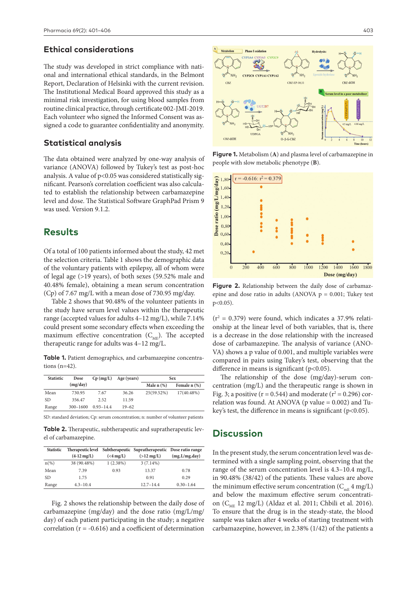#### **Ethical considerations**

The study was developed in strict compliance with national and international ethical standards, in the Belmont Report, Declaration of Helsinki with the current revision. The Institutional Medical Board approved this study as a minimal risk investigation, for using blood samples from routine clinical practice, through certificate 002-JMI-2019. Each volunteer who signed the Informed Consent was assigned a code to guarantee confidentiality and anonymity.

#### **Statistical analysis**

The data obtained were analyzed by one-way analysis of variance (ANOVA) followed by Tukey's test as post-hoc analysis. A value of  $p<0.05$  was considered statistically significant. Pearson's correlation coefficient was also calculated to establish the relationship between carbamazepine level and dose. The Statistical Software GraphPad Prism 9 was used. Version 9.1.2.

## **Results**

Of a total of 100 patients informed about the study, 42 met the selection criteria. Table 1 shows the demographic data of the voluntary patients with epilepsy, all of whom were of legal age (>19 years), of both sexes (59.52% male and 40.48% female), obtaining a mean serum concentration (Cp) of 7.67 mg/L with a mean dose of 730.95 mg/day.

Table 2 shows that 90.48% of the volunteer patients in the study have serum level values within the therapeutic range (accepted values for adults 4–12 mg/L), while 7.14% could present some secondary effects when exceeding the maximum effective concentration  $(C_{MF})$ . The accepted therapeutic range for adults was 4–12 mg/L.

**Table 1.** Patient demographics, and carbamazepine concentrations (n=42).

| <b>Statistic</b> | Dose         | $Cp$ (mg/L)   | Age (years) | <b>Sex</b>      |              |
|------------------|--------------|---------------|-------------|-----------------|--------------|
|                  | (mg/day)     |               |             | Male $n$ $(\%)$ | Female n (%) |
| Mean             | 730.95       | 7.67          | 36.26       | 25(59.52%)      | 17(40.48%)   |
| SD.              | 356.47       | 2.52          | 11.59       |                 |              |
| Range            | $300 - 1600$ | $0.93 - 14.4$ | $19 - 62$   |                 |              |

SD: standard deviation; Cp: serum concentration; n: number of volunteer patients

**Table 2.** Therapeutic, subtherapeutic and supratherapeutic level of carbamazepine.

| <b>Statistic</b> | Therapeutic level<br>$(4-12 \text{ mg/L})$ | $(<4 \,\mathrm{mg/L})$ | Subtherapeutic Supratherapeutic Dose ratio range<br>$(>12 \text{ mg/L})$ | (mg.L/mg.day) |
|------------------|--------------------------------------------|------------------------|--------------------------------------------------------------------------|---------------|
| $n(\%)$          | 38 (90.48%)                                | 1(2.38%)               | $3(7.14\%)$                                                              |               |
| Mean             | 7.39                                       | 0.93                   | 13.37                                                                    | 0.78          |
| SD.              | 1.75                                       |                        | 0.91                                                                     | 0.29          |
| Range            | $4.3 - 10.4$                               |                        | $12.7 - 14.4$                                                            | $0.30 - 1.64$ |

Fig. 2 shows the relationship between the daily dose of carbamazepine (mg/day) and the dose ratio (mg/L/mg/ day) of each patient participating in the study; a negative correlation ( $r = -0.616$ ) and a coefficient of determination



**Figure 1.** Metabolism (**A**) and plasma level of carbamazepine in people with slow metabolic phenotype (**B**).



**Figure 2.** Relationship between the daily dose of carbamazepine and dose ratio in adults (ANOVA  $p = 0.001$ ; Tukey test p<0.05).

 $(r^2 = 0.379)$  were found, which indicates a 37.9% relationship at the linear level of both variables, that is, there is a decrease in the dose relationship with the increased dose of carbamazepine. The analysis of variance (ANO-VA) shows a p value of 0.001, and multiple variables were compared in pairs using Tukey's test, observing that the difference in means is significant  $(p<0.05)$ .

The relationship of the dose (mg/day)-serum concentration (mg/L) and the therapeutic range is shown in Fig. 3; a positive ( $r = 0.544$ ) and moderate ( $r^2 = 0.296$ ) correlation was found. At ANOVA ( $p$  value = 0.002) and Tukey's test, the difference in means is significant  $(p<0.05)$ .

# **Discussion**

In the present study, the serum concentration level was determined with a single sampling point, observing that the range of the serum concentration level is 4.3–10.4 mg/L, in 90.48% (38/42) of the patients. These values are above the minimum effective serum concentration  $(C_{mE}^4 4 mg/L)$ and below the maximum effective serum concentration (C<sub>ME</sub> 12 mg/L) (Aldaz et al. 2011; Chbili et al. 2016). To ensure that the drug is in the steady-state, the blood sample was taken after 4 weeks of starting treatment with carbamazepine, however, in 2.38% (1/42) of the patients a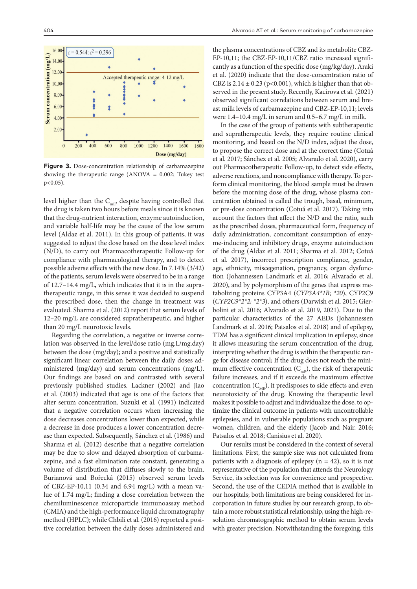$\overline{0}$ 

200



**Figure 3.** Dose-concentration relationship of carbamazepine showing the therapeutic range (ANOVA = 0.002; Tukey test p<0.05).

800

1600

Dose (mg/day)

1800

level higher than the  $C_{mE}$ , despite having controlled that the drug is taken two hours before meals since it is known that the drug-nutrient interaction, enzyme autoinduction, and variable half-life may be the cause of the low serum level (Aldaz et al. 2011). In this group of patients, it was suggested to adjust the dose based on the dose level index (N/D), to carry out Pharmacotherapeutic Follow-up for compliance with pharmacological therapy, and to detect possible adverse effects with the new dose. In 7.14% (3/42) of the patients, serum levels were observed to be in a range of 12.7–14.4 mg/L, which indicates that it is in the supratherapeutic range, in this sense it was decided to suspend the prescribed dose, then the change in treatment was evaluated. Sharma et al. (2012) report that serum levels of 12–20 mg/L are considered supratherapeutic, and higher than 20 mg/L neurotoxic levels.

Regarding the correlation, a negative or inverse correlation was observed in the level/dose ratio (mg.L/mg.day) between the dose (mg/day); and a positive and statistically significant linear correlation between the daily doses administered (mg/day) and serum concentrations (mg/L). Our findings are based on and contrasted with several previously published studies. Lackner (2002) and Jiao et al. (2003) indicated that age is one of the factors that alter serum concentration. Suzuki et al. (1991) indicated that a negative correlation occurs when increasing the dose decreases concentrations lower than expected, while a decrease in dose produces a lower concentration decrease than expected. Subsequently, Sánchez et al. (1986) and Sharma et al. (2012) describe that a negative correlation may be due to slow and delayed absorption of carbamazepine, and a fast elimination rate constant, generating a volume of distribution that diffuses slowly to the brain. Burianová and Bořecká (2015) observed serum levels of CBZ-EP-10,11 (0.34 and 6.94 mg/L) with a mean value of 1.74 mg/L; finding a close correlation between the chemiluminescence microparticle immunoassay method (CMIA) and the high-performance liquid chromatography method (HPLC); while Chbili et al. (2016) reported a positive correlation between the daily doses administered and

the plasma concentrations of CBZ and its metabolite CBZ-EP-10,11; the CBZ-EP-10,11/CBZ ratio increased significantly as a function of the specific dose (mg/kg/day). Araki et al. (2020) indicate that the dose-concentration ratio of CBZ is  $2.14 \pm 0.23$  (p<0.001), which is higher than that observed in the present study. Recently, Kacirova et al. (2021) observed significant correlations between serum and breast milk levels of carbamazepine and CBZ-EP-10,11; levels were 1.4–10.4 mg/L in serum and 0.5–6.7 mg/L in milk.

In the case of the group of patients with subtherapeutic and supratherapeutic levels, they require routine clinical monitoring, and based on the N/D index, adjust the dose, to propose the correct dose and at the correct time (Cotuá et al. 2017; Sánchez et al. 2005; Alvarado et al. 2020), carry out Pharmacotherapeutic Follow-up, to detect side effects, adverse reactions, and noncompliance with therapy. To perform clinical monitoring, the blood sample must be drawn before the morning dose of the drug, whose plasma concentration obtained is called the trough, basal, minimum, or pre-dose concentration (Cotuá et al. 2017). Taking into account the factors that affect the N/D and the ratio, such as the prescribed doses, pharmaceutical form, frequency of daily administration, concomitant consumption of enzyme-inducing and inhibitory drugs, enzyme autoinduction of the drug (Aldaz et al. 2011; Sharma et al. 2012; Cotuá et al. 2017), incorrect prescription compliance, gender, age, ethnicity, miscegenation, pregnancy, organ dysfunction (Johannessen Landmark et al. 2016; Alvarado et al. 2020), and by polymorphism of the genes that express metabolizing proteins CYP3A4 (*CYP3A4\*1B*; *\*20*), CYP2C9 (*CYP2C9\*2\*2; \*2\*3*), and others (Darwish et al. 2015; Gierbolini et al. 2016; Alvarado et al. 2019, 2021). Due to the particular characteristics of the 27 AEDs (Johannessen Landmark et al. 2016; Patsalos et al. 2018) and of epilepsy, TDM has a significant clinical implication in epilepsy, since it allows measuring the serum concentration of the drug, interpreting whether the drug is within the therapeutic range for disease control; If the drug does not reach the minimum effective concentration  $(C_{mE})$ , the risk of therapeutic failure increases, and if it exceeds the maximum effective concentration  $(C_{MF})$ , it predisposes to side effects and even neurotoxicity of the drug. Knowing the therapeutic level makes it possible to adjust and individualize the dose, to optimize the clinical outcome in patients with uncontrollable epilepsies, and in vulnerable populations such as pregnant women, children, and the elderly (Jacob and Nair. 2016; Patsalos et al. 2018; Canisius et al. 2020).

Our results must be considered in the context of several limitations. First, the sample size was not calculated from patients with a diagnosis of epilepsy  $(n = 42)$ , so it is not representative of the population that attends the Neurology Service, its selection was for convenience and prospective. Second, the use of the CEDIA method that is available in our hospitals; both limitations are being considered for incorporation in future studies by our research group, to obtain a more robust statistical relationship, using the high-resolution chromatographic method to obtain serum levels with greater precision. Notwithstanding the foregoing, this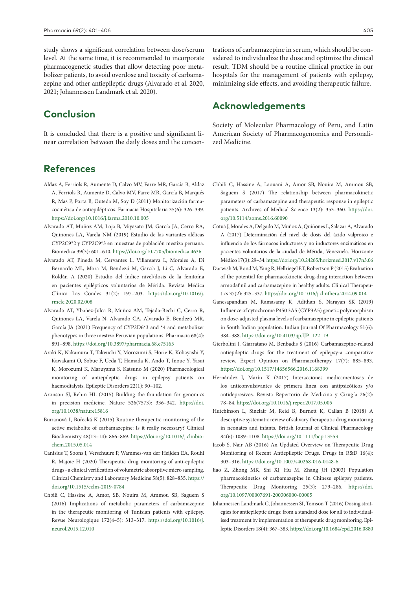study shows a significant correlation between dose/serum level. At the same time, it is recommended to incorporate pharmacogenetic studies that allow detecting poor metabolizer patients, to avoid overdose and toxicity of carbamazepine and other antiepileptic drugs (Alvarado et al. 2020, 2021; Johannessen Landmark et al. 2020).

## **Conclusion**

It is concluded that there is a positive and significant linear correlation between the daily doses and the concen-

# **References**

- Aldaz A, Ferriols R, Aumente D, Calvo MV, Farre MR, García B, Aldaz A, Ferriols R, Aumente D, Calvo MV, Farre MR, García B, Marqués R, Mas P, Porta B, Outeda M, Soy D (2011) Monitorización farmacocinética de antiepilépticos. Farmacia Hospitalaria 35(6): 326–339. <https://doi.org/10.1016/j.farma.2010.10.005>
- Alvarado AT, Muñoz AM, Loja B, Miyasato JM, García JA, Cerro RA, Quiñones LA, Varela NM (2019) Estudio de las variantes alélicas CYP2C9\*2 y CYP2C9\*3 en muestras de población mestiza peruana. Biomedica 39(3): 601–610.<https://doi.org/10.7705/biomedica.4636>
- Alvarado AT, Pineda M, Cervantes L, Villanueva L, Morales A, Di Bernardo ML, Mora M, Bendezú M, García J, Li C, Alvarado E, Roldán A (2020) Estudio del índice nivel/dosis de la fenitoína en pacientes epilépticos voluntarios de Mérida. Revista Médica Clínica Las Condes 31(2): 197–203. [https://doi.org/10.1016/j.](https://doi.org/10.1016/j.rmclc.2020.02.008) [rmclc.2020.02.008](https://doi.org/10.1016/j.rmclc.2020.02.008)
- Alvarado AT, Ybañez-Julca R, Muñoz AM, Tejada-Bechi C, Cerro R, Quiñones LA, Varela N, Alvarado CA, Alvarado E, Bendezú MR, García JA (2021) Frequency of CYP2D6\*3 and \*4 and metabolizer phenotypes in three mestizo Peruvian populations. Pharmacia 68(4): 891–898. <https://doi.org/10.3897/pharmacia.68.e75165>
- Araki K, Nakamura T, Takeuchi Y, Morozumi S, Horie K, Kobayashi Y, Kawakami O, Sobue F, Ueda T, Hamada K, Ando T, Inoue Y, Yasui K, Morozumi K, Maruyama S, Katsuno M (2020) Pharmacological monitoring of antiepileptic drugs in epilepsy patients on haemodialysis. Epileptic Disorders 22(1): 90–102.
- Aronson SJ, Rehm HL (2015) Building the foundation for genomics in precision medicine. Nature 526(7573): 336–342. [https://doi.](https://doi.org/10.1038/nature15816) [org/10.1038/nature15816](https://doi.org/10.1038/nature15816)
- Burianová I, Bořecká K (2015) Routine therapeutic monitoring of the active metabolite of carbamazepine: Is it really necessary? Clinical Biochemistry 48(13–14): 866–869. [https://doi.org/10.1016/j.clinbio](https://doi.org/10.1016/j.clinbiochem.2015.05.014)[chem.2015.05.014](https://doi.org/10.1016/j.clinbiochem.2015.05.014)
- Canisius T, Soons J, Verschuure P, Wammes-van der Heijden EA, Rouhl R, Majoie H (2020) Therapeutic drug monitoring of anti-epileptic drugs - a clinical verification of volumetric absorptive micro sampling. Clinical Chemistry and Laboratory Medicine 58(5): 828–835. [https://](https://doi.org/10.1515/cclm-2019-0784) [doi.org/10.1515/cclm-2019-0784](https://doi.org/10.1515/cclm-2019-0784)
- Chbili C, Hassine A, Amor, SB, Nouira M, Ammou SB, Saguem S (2016) Implications of metabolic parameters of carbamazepine in the therapeutic monitoring of Tunisian patients with epilepsy. Revue Neurologique 172(4–5): 313–317. [https://doi.org/10.1016/j.](https://doi.org/10.1016/j.neurol.2015.12.010) [neurol.2015.12.010](https://doi.org/10.1016/j.neurol.2015.12.010)

trations of carbamazepine in serum, which should be considered to individualize the dose and optimize the clinical result. TDM should be a routine clinical practice in our hospitals for the management of patients with epilepsy, minimizing side effects, and avoiding therapeutic failure.

## **Acknowledgements**

Society of Molecular Pharmacology of Peru, and Latin American Society of Pharmacogenomics and Personalized Medicine.

- Chbili C, Hassine A, Laouani A, Amor SB, Nouira M, Ammou SB, Saguem S (2017) The relationship between pharmacokinetic parameters of carbamazepine and therapeutic response in epileptic patients. Archives of Medical Science 13(2): 353–360. [https://doi.](https://doi.org/10.5114/aoms.2016.60090) [org/10.5114/aoms.2016.60090](https://doi.org/10.5114/aoms.2016.60090)
- Cotuá J, Morales A, Delgado M, Muñoz A, Quiñones L, Salazar A, Alvarado A (2017) Determinación del nivel de dosis del ácido valproico e influencia de los fármacos inductores y no inductores enzimáticos en pacientes voluntarios de la ciudad de Mérida, Venezuela. Horizonte Médico 17(3): 29–34.<https://doi.org/10.24265/horizmed.2017.v17n3.06>
- Darwish M, Bond M, Yang R, Hellriegel ET, Robertson P (2015) Evaluation of the potential for pharmacokinetic drug-drug interaction between armodafinil and carbamazepine in healthy adults. Clinical Therapeutics 37(2): 325–337.<https://doi.org/10.1016/j.clinthera.2014.09.014>
- Ganesapandian M, Ramasamy K, Adithan S, Narayan SK (2019) Influence of cytochrome P450 3A5 (CYP3A5) genetic polymorphism on dose-adjusted plasma levels of carbamazepine in epileptic patients in South Indian population. Indian Journal Of Pharmacology 51(6): 384–388. [https://doi.org/10.4103/ijp.IJP\\_122\\_19](https://doi.org/10.4103/ijp.IJP_122_19)
- Gierbolini J, Giarratano M, Benbadis S (2016) Carbamazepine-related antiepileptic drugs for the treatment of epilepsy-a comparative review. Expert Opinion on Pharmacotherapy 17(7): 885–893. <https://doi.org/10.1517/14656566.2016.1168399>
- Hernández l, Marín K (2017) Interacciones medicamentosas de los anticonvulsivantes de primera línea con antipsicóticos y/o antidepresivos. Revista Repertorio de Medicina y Cirugía 26(2): 78–84.<https://doi.org/10.1016/j.reper.2017.05.005>
- Hutchinson L, Sinclair M, Reid B, Burnett K, Callan B (2018) A descriptive systematic review of salivary therapeutic drug monitoring in neonates and infants. British Journal of Clinical Pharmacology 84(6): 1089–1108.<https://doi.org/10.1111/bcp.13553>
- Jacob S, Nair AB (2016) An Updated Overview on Therapeutic Drug Monitoring of Recent Antiepileptic Drugs. Drugs in R&D 16(4): 303–316. <https://doi.org/10.1007/s40268-016-0148-6>
- Jiao Z, Zhong MK, Shi XJ, Hu M, Zhang JH (2003) Population pharmacokinetics of carbamazepine in Chinese epilepsy patients. Therapeutic Drug Monitoring 25(3): 279–286. [https://doi.](https://doi.org/10.1097/00007691-200306000-00005) [org/10.1097/00007691-200306000-00005](https://doi.org/10.1097/00007691-200306000-00005)
- Johannessen Landmark C, Johannessen SI, Tomson T (2016) Dosing strategies for antiepileptic drugs: from a standard dose for all to individualised treatment by implementation of therapeutic drug monitoring. Epileptic Disorders 18(4): 367–383.<https://doi.org/10.1684/epd.2016.0880>